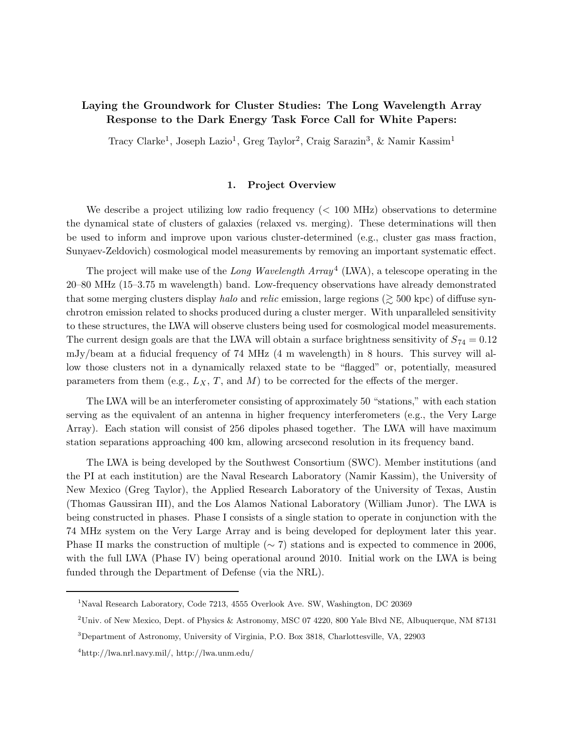# Laying the Groundwork for Cluster Studies: The Long Wavelength Array Response to the Dark Energy Task Force Call for White Papers:

Tracy Clarke<sup>1</sup>, Joseph Lazio<sup>1</sup>, Greg Taylor<sup>2</sup>, Craig Sarazin<sup>3</sup>, & Namir Kassim<sup>1</sup>

# 1. Project Overview

We describe a project utilizing low radio frequency  $\langle$  100 MHz) observations to determine the dynamical state of clusters of galaxies (relaxed vs. merging). These determinations will then be used to inform and improve upon various cluster-determined (e.g., cluster gas mass fraction, Sunyaev-Zeldovich) cosmological model measurements by removing an important systematic effect.

The project will make use of the Long Wavelength  $Array<sup>4</sup>$  (LWA), a telescope operating in the 20–80 MHz (15–3.75 m wavelength) band. Low-frequency observations have already demonstrated that some merging clusters display halo and relic emission, large regions ( $\gtrsim 500$  kpc) of diffuse synchrotron emission related to shocks produced during a cluster merger. With unparalleled sensitivity to these structures, the LWA will observe clusters being used for cosmological model measurements. The current design goals are that the LWA will obtain a surface brightness sensitivity of  $S_{74} = 0.12$ mJy/beam at a fiducial frequency of 74 MHz (4 m wavelength) in 8 hours. This survey will allow those clusters not in a dynamically relaxed state to be "flagged" or, potentially, measured parameters from them (e.g.,  $L_X$ , T, and M) to be corrected for the effects of the merger.

The LWA will be an interferometer consisting of approximately 50 "stations," with each station serving as the equivalent of an antenna in higher frequency interferometers (e.g., the Very Large Array). Each station will consist of 256 dipoles phased together. The LWA will have maximum station separations approaching 400 km, allowing arcsecond resolution in its frequency band.

The LWA is being developed by the Southwest Consortium (SWC). Member institutions (and the PI at each institution) are the Naval Research Laboratory (Namir Kassim), the University of New Mexico (Greg Taylor), the Applied Research Laboratory of the University of Texas, Austin (Thomas Gaussiran III), and the Los Alamos National Laboratory (William Junor). The LWA is being constructed in phases. Phase I consists of a single station to operate in conjunction with the 74 MHz system on the Very Large Array and is being developed for deployment later this year. Phase II marks the construction of multiple ( $\sim$  7) stations and is expected to commence in 2006, with the full LWA (Phase IV) being operational around 2010. Initial work on the LWA is being funded through the Department of Defense (via the NRL).

<sup>&</sup>lt;sup>1</sup>Naval Research Laboratory, Code 7213, 4555 Overlook Ave. SW, Washington, DC 20369

<sup>&</sup>lt;sup>2</sup>Univ. of New Mexico, Dept. of Physics & Astronomy, MSC 07 4220, 800 Yale Blvd NE, Albuquerque, NM 87131

<sup>3</sup>Department of Astronomy, University of Virginia, P.O. Box 3818, Charlottesville, VA, 22903

<sup>4</sup>http://lwa.nrl.navy.mil/, http://lwa.unm.edu/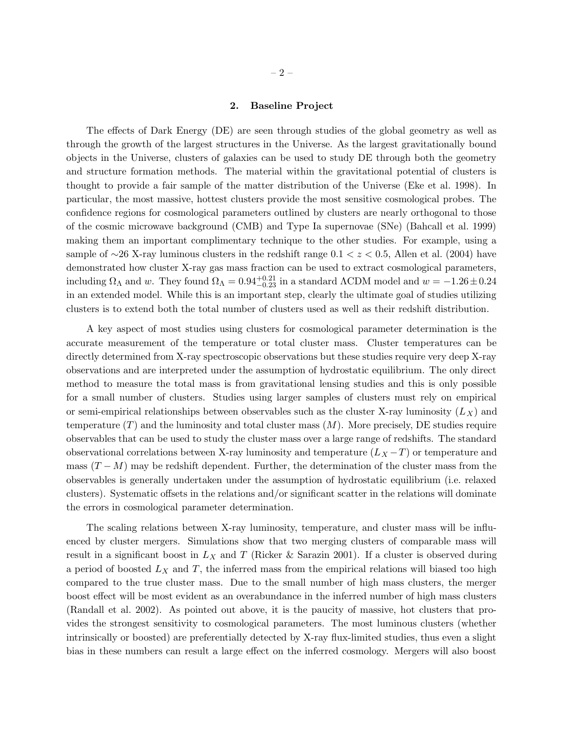#### 2. Baseline Project

The effects of Dark Energy (DE) are seen through studies of the global geometry as well as through the growth of the largest structures in the Universe. As the largest gravitationally bound objects in the Universe, clusters of galaxies can be used to study DE through both the geometry and structure formation methods. The material within the gravitational potential of clusters is thought to provide a fair sample of the matter distribution of the Universe (Eke et al. 1998). In particular, the most massive, hottest clusters provide the most sensitive cosmological probes. The confidence regions for cosmological parameters outlined by clusters are nearly orthogonal to those of the cosmic microwave background (CMB) and Type Ia supernovae (SNe) (Bahcall et al. 1999) making them an important complimentary technique to the other studies. For example, using a sample of ∼26 X-ray luminous clusters in the redshift range  $0.1 < z < 0.5$ , Allen et al. (2004) have demonstrated how cluster X-ray gas mass fraction can be used to extract cosmological parameters, including  $\Omega_{\Lambda}$  and w. They found  $\Omega_{\Lambda} = 0.94_{-0.23}^{+0.21}$  in a standard  $\Lambda$ CDM model and  $w = -1.26 \pm 0.24$ in an extended model. While this is an important step, clearly the ultimate goal of studies utilizing clusters is to extend both the total number of clusters used as well as their redshift distribution.

A key aspect of most studies using clusters for cosmological parameter determination is the accurate measurement of the temperature or total cluster mass. Cluster temperatures can be directly determined from X-ray spectroscopic observations but these studies require very deep X-ray observations and are interpreted under the assumption of hydrostatic equilibrium. The only direct method to measure the total mass is from gravitational lensing studies and this is only possible for a small number of clusters. Studies using larger samples of clusters must rely on empirical or semi-empirical relationships between observables such as the cluster X-ray luminosity  $(L_X)$  and temperature  $(T)$  and the luminosity and total cluster mass  $(M)$ . More precisely, DE studies require observables that can be used to study the cluster mass over a large range of redshifts. The standard observational correlations between X-ray luminosity and temperature  $(L_X - T)$  or temperature and mass  $(T - M)$  may be redshift dependent. Further, the determination of the cluster mass from the observables is generally undertaken under the assumption of hydrostatic equilibrium (i.e. relaxed clusters). Systematic offsets in the relations and/or significant scatter in the relations will dominate the errors in cosmological parameter determination.

The scaling relations between X-ray luminosity, temperature, and cluster mass will be influenced by cluster mergers. Simulations show that two merging clusters of comparable mass will result in a significant boost in  $L_X$  and T (Ricker & Sarazin 2001). If a cluster is observed during a period of boosted  $L_X$  and T, the inferred mass from the empirical relations will biased too high compared to the true cluster mass. Due to the small number of high mass clusters, the merger boost effect will be most evident as an overabundance in the inferred number of high mass clusters (Randall et al. 2002). As pointed out above, it is the paucity of massive, hot clusters that provides the strongest sensitivity to cosmological parameters. The most luminous clusters (whether intrinsically or boosted) are preferentially detected by X-ray flux-limited studies, thus even a slight bias in these numbers can result a large effect on the inferred cosmology. Mergers will also boost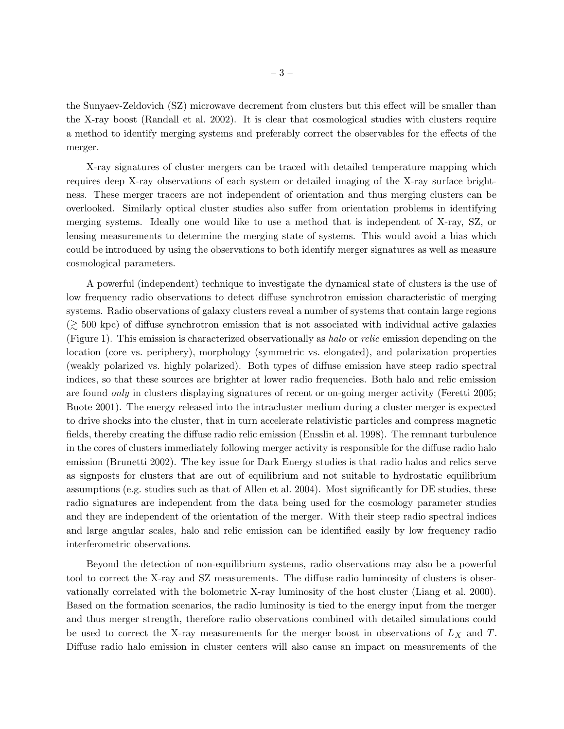the Sunyaev-Zeldovich (SZ) microwave decrement from clusters but this effect will be smaller than the X-ray boost (Randall et al. 2002). It is clear that cosmological studies with clusters require a method to identify merging systems and preferably correct the observables for the effects of the merger.

X-ray signatures of cluster mergers can be traced with detailed temperature mapping which requires deep X-ray observations of each system or detailed imaging of the X-ray surface brightness. These merger tracers are not independent of orientation and thus merging clusters can be overlooked. Similarly optical cluster studies also suffer from orientation problems in identifying merging systems. Ideally one would like to use a method that is independent of X-ray, SZ, or lensing measurements to determine the merging state of systems. This would avoid a bias which could be introduced by using the observations to both identify merger signatures as well as measure cosmological parameters.

A powerful (independent) technique to investigate the dynamical state of clusters is the use of low frequency radio observations to detect diffuse synchrotron emission characteristic of merging systems. Radio observations of galaxy clusters reveal a number of systems that contain large regions  $(\gtrsim 500 \text{ kpc})$  of diffuse synchrotron emission that is not associated with individual active galaxies (Figure 1). This emission is characterized observationally as halo or relic emission depending on the location (core vs. periphery), morphology (symmetric vs. elongated), and polarization properties (weakly polarized vs. highly polarized). Both types of diffuse emission have steep radio spectral indices, so that these sources are brighter at lower radio frequencies. Both halo and relic emission are found only in clusters displaying signatures of recent or on-going merger activity (Feretti 2005; Buote 2001). The energy released into the intracluster medium during a cluster merger is expected to drive shocks into the cluster, that in turn accelerate relativistic particles and compress magnetic fields, thereby creating the diffuse radio relic emission (Ensslin et al. 1998). The remnant turbulence in the cores of clusters immediately following merger activity is responsible for the diffuse radio halo emission (Brunetti 2002). The key issue for Dark Energy studies is that radio halos and relics serve as signposts for clusters that are out of equilibrium and not suitable to hydrostatic equilibrium assumptions (e.g. studies such as that of Allen et al. 2004). Most significantly for DE studies, these radio signatures are independent from the data being used for the cosmology parameter studies and they are independent of the orientation of the merger. With their steep radio spectral indices and large angular scales, halo and relic emission can be identified easily by low frequency radio interferometric observations.

Beyond the detection of non-equilibrium systems, radio observations may also be a powerful tool to correct the X-ray and SZ measurements. The diffuse radio luminosity of clusters is observationally correlated with the bolometric X-ray luminosity of the host cluster (Liang et al. 2000). Based on the formation scenarios, the radio luminosity is tied to the energy input from the merger and thus merger strength, therefore radio observations combined with detailed simulations could be used to correct the X-ray measurements for the merger boost in observations of  $L_X$  and T. Diffuse radio halo emission in cluster centers will also cause an impact on measurements of the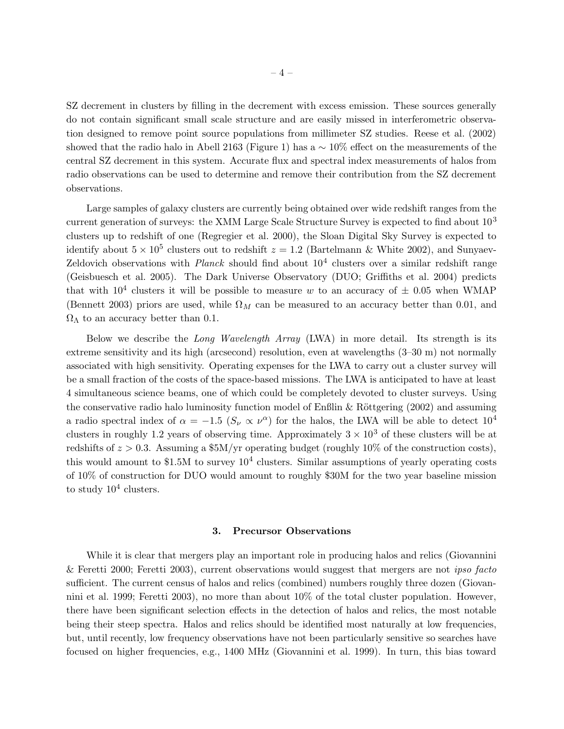SZ decrement in clusters by filling in the decrement with excess emission. These sources generally do not contain significant small scale structure and are easily missed in interferometric observation designed to remove point source populations from millimeter SZ studies. Reese et al. (2002) showed that the radio halo in Abell 2163 (Figure 1) has a  $\sim 10\%$  effect on the measurements of the central SZ decrement in this system. Accurate flux and spectral index measurements of halos from radio observations can be used to determine and remove their contribution from the SZ decrement observations.

Large samples of galaxy clusters are currently being obtained over wide redshift ranges from the current generation of surveys: the XMM Large Scale Structure Survey is expected to find about 10<sup>3</sup> clusters up to redshift of one (Regregier et al. 2000), the Sloan Digital Sky Survey is expected to identify about  $5 \times 10^5$  clusters out to redshift  $z = 1.2$  (Bartelmann & White 2002), and Sunyaev-Zeldovich observations with  $Planck$  should find about  $10<sup>4</sup>$  clusters over a similar redshift range (Geisbuesch et al. 2005). The Dark Universe Observatory (DUO; Griffiths et al. 2004) predicts that with  $10^4$  clusters it will be possible to measure w to an accuracy of  $\pm$  0.05 when WMAP (Bennett 2003) priors are used, while  $\Omega_M$  can be measured to an accuracy better than 0.01, and  $Ω<sub>Λ</sub>$  to an accuracy better than 0.1.

Below we describe the Long Wavelength Array (LWA) in more detail. Its strength is its extreme sensitivity and its high (arcsecond) resolution, even at wavelengths (3–30 m) not normally associated with high sensitivity. Operating expenses for the LWA to carry out a cluster survey will be a small fraction of the costs of the space-based missions. The LWA is anticipated to have at least 4 simultaneous science beams, one of which could be completely devoted to cluster surveys. Using the conservative radio halo luminosity function model of Enßlin & Röttgering (2002) and assuming a radio spectral index of  $\alpha = -1.5$   $(S_{\nu} \propto \nu^{\alpha})$  for the halos, the LWA will be able to detect  $10^4$ clusters in roughly 1.2 years of observing time. Approximately  $3 \times 10^3$  of these clusters will be at redshifts of  $z > 0.3$ . Assuming a \$5M/yr operating budget (roughly 10% of the construction costs), this would amount to \$1.5M to survey  $10^4$  clusters. Similar assumptions of yearly operating costs of 10% of construction for DUO would amount to roughly \$30M for the two year baseline mission to study  $10^4$  clusters.

## 3. Precursor Observations

While it is clear that mergers play an important role in producing halos and relics (Giovannini & Feretti 2000; Feretti 2003), current observations would suggest that mergers are not ipso facto sufficient. The current census of halos and relics (combined) numbers roughly three dozen (Giovannini et al. 1999; Feretti 2003), no more than about 10% of the total cluster population. However, there have been significant selection effects in the detection of halos and relics, the most notable being their steep spectra. Halos and relics should be identified most naturally at low frequencies, but, until recently, low frequency observations have not been particularly sensitive so searches have focused on higher frequencies, e.g., 1400 MHz (Giovannini et al. 1999). In turn, this bias toward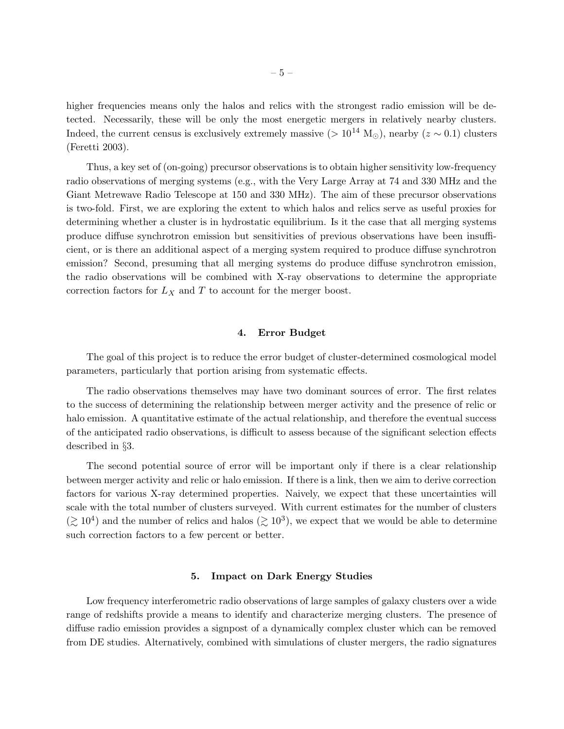higher frequencies means only the halos and relics with the strongest radio emission will be detected. Necessarily, these will be only the most energetic mergers in relatively nearby clusters. Indeed, the current census is exclusively extremely massive (>  $10^{14}$  M<sub> $\odot$ </sub>), nearby ( $z \sim 0.1$ ) clusters (Feretti 2003).

Thus, a key set of (on-going) precursor observations is to obtain higher sensitivity low-frequency radio observations of merging systems (e.g., with the Very Large Array at 74 and 330 MHz and the Giant Metrewave Radio Telescope at 150 and 330 MHz). The aim of these precursor observations is two-fold. First, we are exploring the extent to which halos and relics serve as useful proxies for determining whether a cluster is in hydrostatic equilibrium. Is it the case that all merging systems produce diffuse synchrotron emission but sensitivities of previous observations have been insufficient, or is there an additional aspect of a merging system required to produce diffuse synchrotron emission? Second, presuming that all merging systems do produce diffuse synchrotron emission, the radio observations will be combined with X-ray observations to determine the appropriate correction factors for  $L_X$  and  $T$  to account for the merger boost.

## 4. Error Budget

The goal of this project is to reduce the error budget of cluster-determined cosmological model parameters, particularly that portion arising from systematic effects.

The radio observations themselves may have two dominant sources of error. The first relates to the success of determining the relationship between merger activity and the presence of relic or halo emission. A quantitative estimate of the actual relationship, and therefore the eventual success of the anticipated radio observations, is difficult to assess because of the significant selection effects described in §3.

The second potential source of error will be important only if there is a clear relationship between merger activity and relic or halo emission. If there is a link, then we aim to derive correction factors for various X-ray determined properties. Naively, we expect that these uncertainties will scale with the total number of clusters surveyed. With current estimates for the number of clusters  $(\gtrsim 10^4)$  and the number of relics and halos  $(\gtrsim 10^3)$ , we expect that we would be able to determine such correction factors to a few percent or better.

# 5. Impact on Dark Energy Studies

Low frequency interferometric radio observations of large samples of galaxy clusters over a wide range of redshifts provide a means to identify and characterize merging clusters. The presence of diffuse radio emission provides a signpost of a dynamically complex cluster which can be removed from DE studies. Alternatively, combined with simulations of cluster mergers, the radio signatures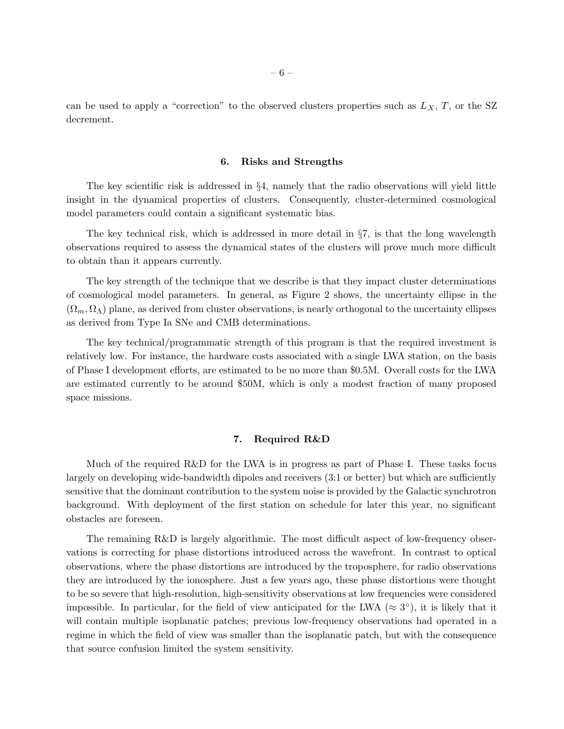can be used to apply a "correction" to the observed clusters properties such as  $L_X$ , T, or the SZ decrement.

#### 6. Risks and Strengths

The key scientific risk is addressed in §4, namely that the radio observations will yield little insight in the dynamical properties of clusters. Consequently, cluster-determined cosmological model parameters could contain a significant systematic bias.

The key technical risk, which is addressed in more detail in  $\S7$ , is that the long wavelength observations required to assess the dynamical states of the clusters will prove much more difficult to obtain than it appears currently.

The key strength of the technique that we describe is that they impact cluster determinations of cosmological model parameters. In general, as Figure 2 shows, the uncertainty ellipse in the  $(\Omega_m, \Omega_\Lambda)$  plane, as derived from cluster observations, is nearly orthogonal to the uncertainty ellipses as derived from Type Ia SNe and CMB determinations.

The key technical/programmatic strength of this program is that the required investment is relatively low. For instance, the hardware costs associated with a single LWA station, on the basis of Phase I development efforts, are estimated to be no more than \$0.5M. Overall costs for the LWA are estimated currently to be around \$50M, which is only a modest fraction of many proposed space missions.

#### 7. Required R&D

Much of the required R&D for the LWA is in progress as part of Phase I. These tasks focus largely on developing wide-bandwidth dipoles and receivers (3:1 or better) but which are sufficiently sensitive that the dominant contribution to the system noise is provided by the Galactic synchrotron background. With deployment of the first station on schedule for later this year, no significant obstacles are foreseen.

The remaining R&D is largely algorithmic. The most difficult aspect of low-frequency observations is correcting for phase distortions introduced across the wavefront. In contrast to optical observations, where the phase distortions are introduced by the troposphere, for radio observations they are introduced by the ionosphere. Just a few years ago, these phase distortions were thought to be so severe that high-resolution, high-sensitivity observations at low frequencies were considered impossible. In particular, for the field of view anticipated for the LWA ( $\approx 3^{\circ}$ ), it is likely that it will contain multiple isoplanatic patches; previous low-frequency observations had operated in a regime in which the field of view was smaller than the isoplanatic patch, but with the consequence that source confusion limited the system sensitivity.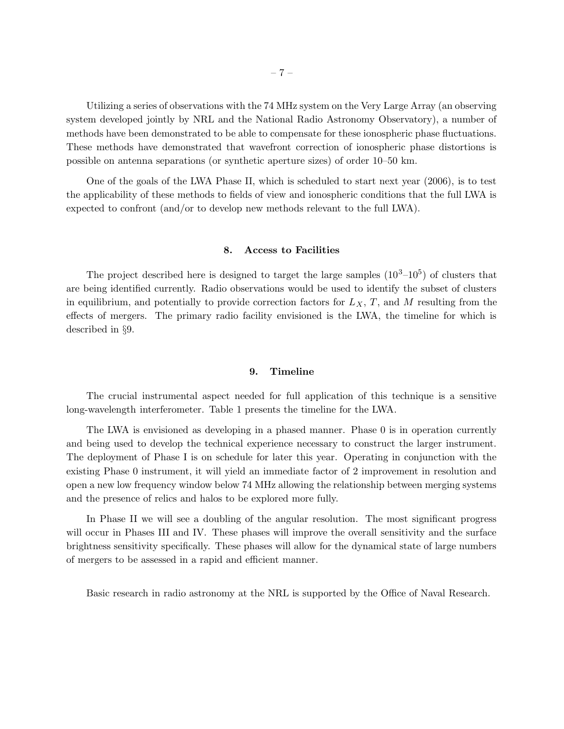Utilizing a series of observations with the 74 MHz system on the Very Large Array (an observing system developed jointly by NRL and the National Radio Astronomy Observatory), a number of methods have been demonstrated to be able to compensate for these ionospheric phase fluctuations. These methods have demonstrated that wavefront correction of ionospheric phase distortions is possible on antenna separations (or synthetic aperture sizes) of order 10–50 km.

One of the goals of the LWA Phase II, which is scheduled to start next year (2006), is to test the applicability of these methods to fields of view and ionospheric conditions that the full LWA is expected to confront (and/or to develop new methods relevant to the full LWA).

#### 8. Access to Facilities

The project described here is designed to target the large samples  $(10^3-10^5)$  of clusters that are being identified currently. Radio observations would be used to identify the subset of clusters in equilibrium, and potentially to provide correction factors for  $L_X$ , T, and M resulting from the effects of mergers. The primary radio facility envisioned is the LWA, the timeline for which is described in §9.

#### 9. Timeline

The crucial instrumental aspect needed for full application of this technique is a sensitive long-wavelength interferometer. Table 1 presents the timeline for the LWA.

The LWA is envisioned as developing in a phased manner. Phase 0 is in operation currently and being used to develop the technical experience necessary to construct the larger instrument. The deployment of Phase I is on schedule for later this year. Operating in conjunction with the existing Phase 0 instrument, it will yield an immediate factor of 2 improvement in resolution and open a new low frequency window below 74 MHz allowing the relationship between merging systems and the presence of relics and halos to be explored more fully.

In Phase II we will see a doubling of the angular resolution. The most significant progress will occur in Phases III and IV. These phases will improve the overall sensitivity and the surface brightness sensitivity specifically. These phases will allow for the dynamical state of large numbers of mergers to be assessed in a rapid and efficient manner.

Basic research in radio astronomy at the NRL is supported by the Office of Naval Research.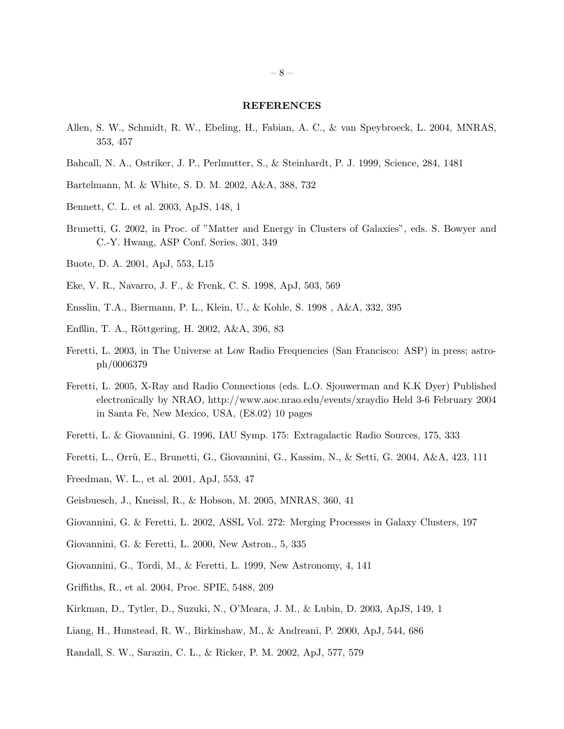#### REFERENCES

- Allen, S. W., Schmidt, R. W., Ebeling, H., Fabian, A. C., & van Speybroeck, L. 2004, MNRAS, 353, 457
- Bahcall, N. A., Ostriker, J. P., Perlmutter, S., & Steinhardt, P. J. 1999, Science, 284, 1481
- Bartelmann, M. & White, S. D. M. 2002, A&A, 388, 732
- Bennett, C. L. et al. 2003, ApJS, 148, 1
- Brunetti, G. 2002, in Proc. of "Matter and Energy in Clusters of Galaxies", eds. S. Bowyer and C.-Y. Hwang, ASP Conf. Series, 301, 349
- Buote, D. A. 2001, ApJ, 553, L15
- Eke, V. R., Navarro, J. F., & Frenk, C. S. 1998, ApJ, 503, 569
- Ensslin, T.A., Biermann, P. L., Klein, U., & Kohle, S. 1998 , A&A, 332, 395
- Enßlin, T. A., Röttgering, H. 2002, A&A, 396, 83
- Feretti, L. 2003, in The Universe at Low Radio Frequencies (San Francisco: ASP) in press; astroph/0006379
- Feretti, L. 2005, X-Ray and Radio Connections (eds. L.O. Sjouwerman and K.K Dyer) Published electronically by NRAO, http://www.aoc.nrao.edu/events/xraydio Held 3-6 February 2004 in Santa Fe, New Mexico, USA, (E8.02) 10 pages
- Feretti, L. & Giovannini, G. 1996, IAU Symp. 175: Extragalactic Radio Sources, 175, 333
- Feretti, L., Orrù, E., Brunetti, G., Giovannini, G., Kassim, N., & Setti, G. 2004, A&A, 423, 111
- Freedman, W. L., et al. 2001, ApJ, 553, 47
- Geisbuesch, J., Kneissl, R., & Hobson, M. 2005, MNRAS, 360, 41
- Giovannini, G. & Feretti, L. 2002, ASSL Vol. 272: Merging Processes in Galaxy Clusters, 197
- Giovannini, G. & Feretti, L. 2000, New Astron., 5, 335
- Giovannini, G., Tordi, M., & Feretti, L. 1999, New Astronomy, 4, 141
- Griffiths, R., et al. 2004, Proc. SPIE, 5488, 209
- Kirkman, D., Tytler, D., Suzuki, N., O'Meara, J. M., & Lubin, D. 2003, ApJS, 149, 1
- Liang, H., Hunstead, R. W., Birkinshaw, M., & Andreani, P. 2000, ApJ, 544, 686
- Randall, S. W., Sarazin, C. L., & Ricker, P. M. 2002, ApJ, 577, 579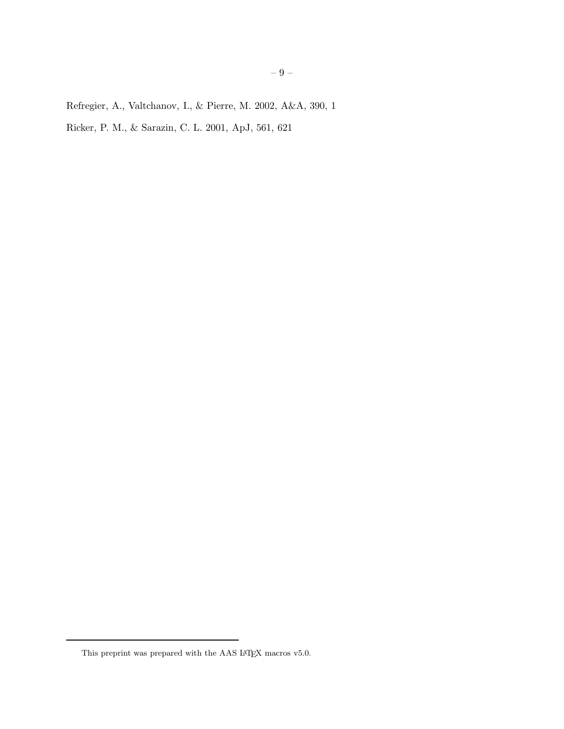Refregier, A., Valtchanov, I., & Pierre, M. 2002, A&A, 390, 1

Ricker, P. M., & Sarazin, C. L. 2001, ApJ, 561, 621

This preprint was prepared with the AAS IATEX macros v5.0.  $\,$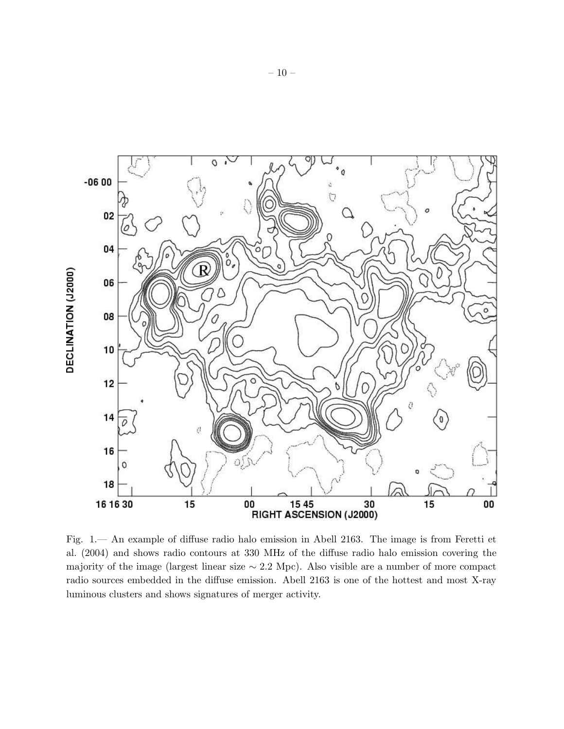

Fig. 1.— An example of diffuse radio halo emission in Abell 2163. The image is from Feretti et al. (2004) and shows radio contours at 330 MHz of the diffuse radio halo emission covering the majority of the image (largest linear size ∼ 2.2 Mpc). Also visible are a number of more compact radio sources embedded in the diffuse emission. Abell 2163 is one of the hottest and most X-ray luminous clusters and shows signatures of merger activity.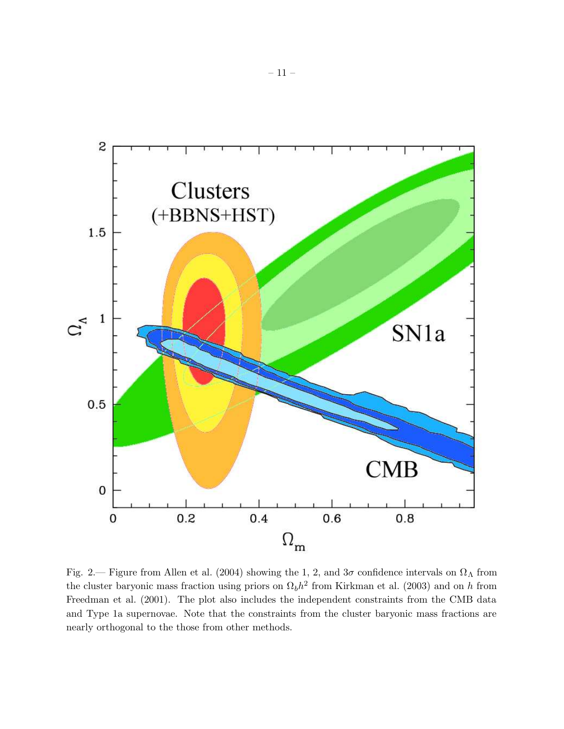

Fig. 2.— Figure from Allen et al. (2004) showing the 1, 2, and  $3\sigma$  confidence intervals on  $\Omega_{\Lambda}$  from the cluster baryonic mass fraction using priors on  $\Omega_b h^2$  from Kirkman et al. (2003) and on h from Freedman et al. (2001). The plot also includes the independent constraints from the CMB data and Type 1a supernovae. Note that the constraints from the cluster baryonic mass fractions are nearly orthogonal to the those from other methods.